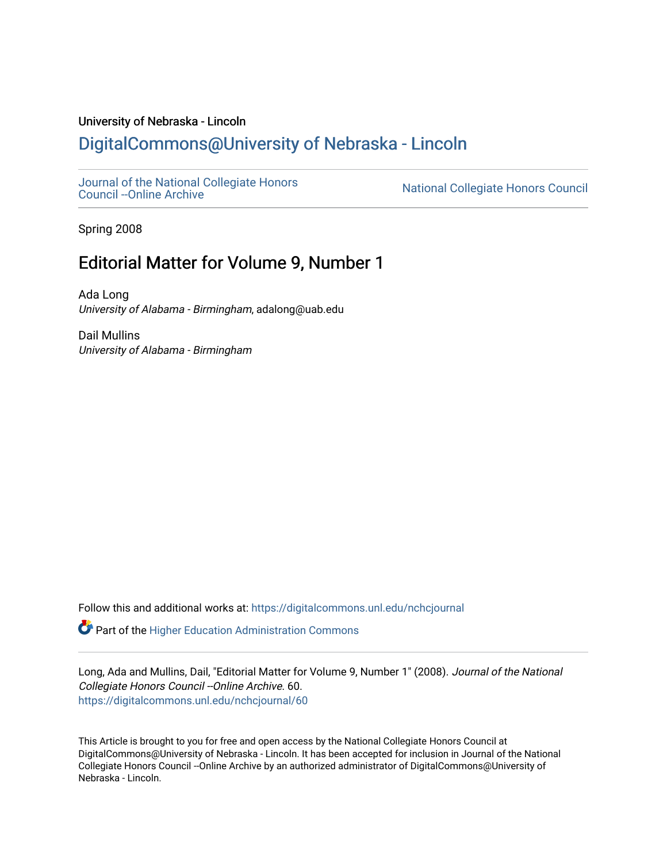### University of Nebraska - Lincoln [DigitalCommons@University of Nebraska - Lincoln](https://digitalcommons.unl.edu/)

[Journal of the National Collegiate Honors](https://digitalcommons.unl.edu/nchcjournal) 

National Collegiate Honors Council

Spring 2008

## Editorial Matter for Volume 9, Number 1

Ada Long University of Alabama - Birmingham, adalong@uab.edu

Dail Mullins University of Alabama - Birmingham

Follow this and additional works at: [https://digitalcommons.unl.edu/nchcjournal](https://digitalcommons.unl.edu/nchcjournal?utm_source=digitalcommons.unl.edu%2Fnchcjournal%2F60&utm_medium=PDF&utm_campaign=PDFCoverPages) 

 $\bullet$  Part of the Higher Education Administration Commons

Long, Ada and Mullins, Dail, "Editorial Matter for Volume 9, Number 1" (2008). Journal of the National Collegiate Honors Council --Online Archive. 60. [https://digitalcommons.unl.edu/nchcjournal/60](https://digitalcommons.unl.edu/nchcjournal/60?utm_source=digitalcommons.unl.edu%2Fnchcjournal%2F60&utm_medium=PDF&utm_campaign=PDFCoverPages) 

This Article is brought to you for free and open access by the National Collegiate Honors Council at DigitalCommons@University of Nebraska - Lincoln. It has been accepted for inclusion in Journal of the National Collegiate Honors Council --Online Archive by an authorized administrator of DigitalCommons@University of Nebraska - Lincoln.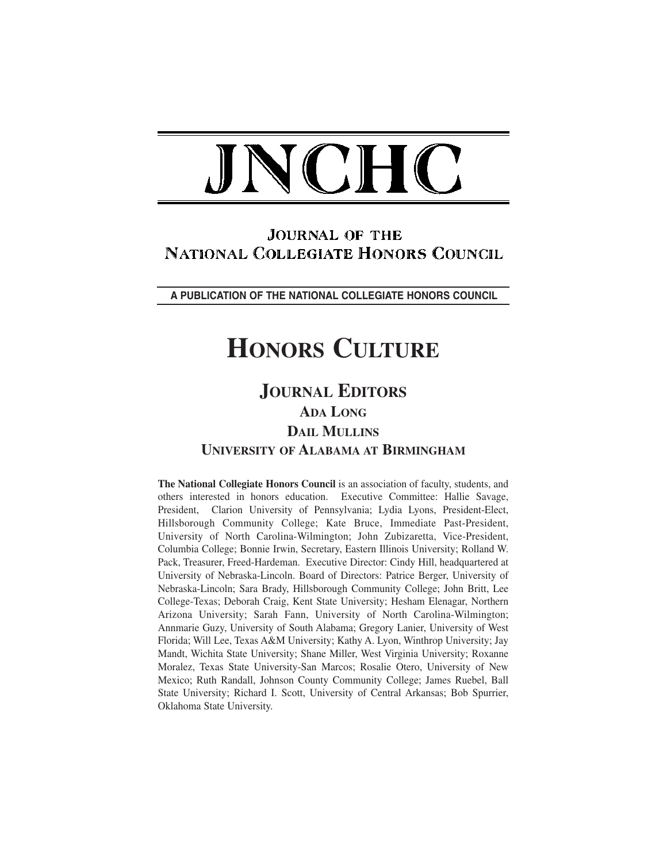### **JOURNAL OF THE NATIONAL COLLEGIATE HONORS COUNCIL**

#### **A PUBLICATION OF THE NATIONAL COLLEGIATE HONORS COUNCIL**

## **HONORS CULTURE**

### **JOURNAL EDITORS ADA LONG DAIL MULLINS UNIVERSITY OF ALABAMA AT BIRMINGHAM**

**The National Collegiate Honors Council** is an association of faculty, students, and others interested in honors education. Executive Committee: Hallie Savage, President, Clarion University of Pennsylvania; Lydia Lyons, President-Elect, Hillsborough Community College; Kate Bruce, Immediate Past-President, University of North Carolina-Wilmington; John Zubizaretta, Vice-President, Columbia College; Bonnie Irwin, Secretary, Eastern Illinois University; Rolland W. Pack, Treasurer, Freed-Hardeman. Executive Director: Cindy Hill, headquartered at University of Nebraska-Lincoln. Board of Directors: Patrice Berger, University of Nebraska-Lincoln; Sara Brady, Hillsborough Community College; John Britt, Lee College-Texas; Deborah Craig, Kent State University; Hesham Elenagar, Northern Arizona University; Sarah Fann, University of North Carolina-Wilmington; Annmarie Guzy, University of South Alabama; Gregory Lanier, University of West Florida; Will Lee, Texas A&M University; Kathy A. Lyon, Winthrop University; Jay Mandt, Wichita State University; Shane Miller, West Virginia University; Roxanne Moralez, Texas State University-San Marcos; Rosalie Otero, University of New Mexico; Ruth Randall, Johnson County Community College; James Ruebel, Ball State University; Richard I. Scott, University of Central Arkansas; Bob Spurrier, Oklahoma State University.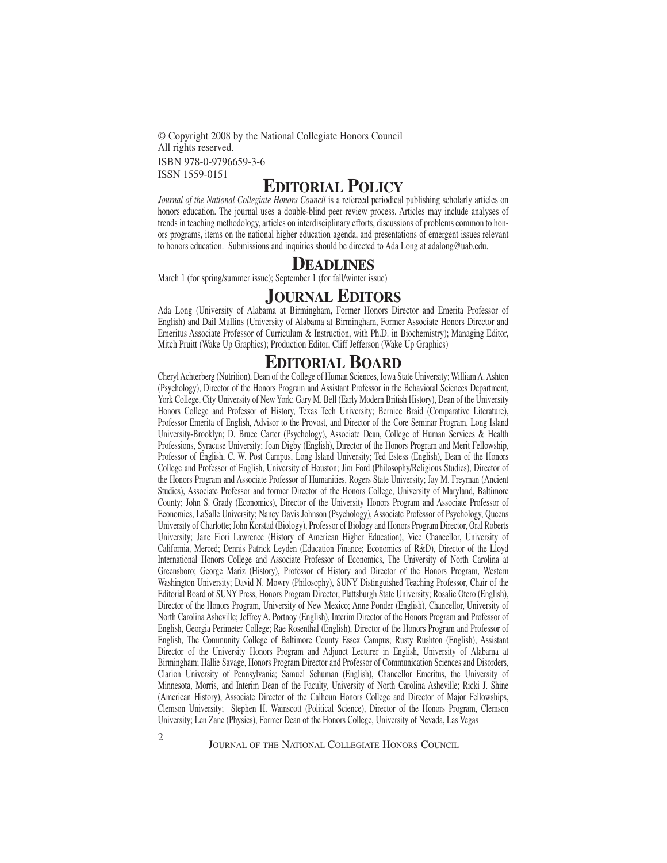© Copyright 2008 by the National Collegiate Honors Council All rights reserved. ISBN 978-0-9796659-3-6 ISSN 1559-0151

### **EDITORIAL POLICY**

*Journal of the National Collegiate Honors Council* is a refereed periodical publishing scholarly articles on honors education. The journal uses a double-blind peer review process. Articles may include analyses of trends in teaching methodology, articles on interdisciplinary efforts, discussions of problems common to honors programs, items on the national higher education agenda, and presentations of emergent issues relevant to honors education. Submissions and inquiries should be directed to Ada Long at adalong@uab.edu.

### **DEADLINES**

March 1 (for spring/summer issue); September 1 (for fall/winter issue)

### **JOURNAL EDITORS**

Ada Long (University of Alabama at Birmingham, Former Honors Director and Emerita Professor of English) and Dail Mullins (University of Alabama at Birmingham, Former Associate Honors Director and Emeritus Associate Professor of Curriculum & Instruction, with Ph.D. in Biochemistry); Managing Editor, Mitch Pruitt (Wake Up Graphics); Production Editor, Cliff Jefferson (Wake Up Graphics)

### **EDITORIAL BOARD**

Cheryl Achterberg (Nutrition), Dean of the College of Human Sciences, Iowa State University; William A. Ashton (Psychology), Director of the Honors Program and Assistant Professor in the Behavioral Sciences Department, York College, City University of New York; Gary M. Bell (Early Modern British History), Dean of the University Honors College and Professor of History, Texas Tech University; Bernice Braid (Comparative Literature), Professor Emerita of English, Advisor to the Provost, and Director of the Core Seminar Program, Long Island University-Brooklyn; D. Bruce Carter (Psychology), Associate Dean, College of Human Services & Health Professions, Syracuse University; Joan Digby (English), Director of the Honors Program and Merit Fellowship, Professor of English, C. W. Post Campus, Long Island University; Ted Estess (English), Dean of the Honors College and Professor of English, University of Houston; Jim Ford (Philosophy/Religious Studies), Director of the Honors Program and Associate Professor of Humanities, Rogers State University; Jay M. Freyman (Ancient Studies), Associate Professor and former Director of the Honors College, University of Maryland, Baltimore County; John S. Grady (Economics), Director of the University Honors Program and Associate Professor of Economics, LaSalle University; Nancy Davis Johnson (Psychology), Associate Professor of Psychology, Queens University of Charlotte; John Korstad (Biology), Professor of Biology and Honors Program Director, Oral Roberts University; Jane Fiori Lawrence (History of American Higher Education), Vice Chancellor, University of California, Merced; Dennis Patrick Leyden (Education Finance; Economics of R&D), Director of the Lloyd International Honors College and Associate Professor of Economics, The University of North Carolina at Greensboro; George Mariz (History), Professor of History and Director of the Honors Program, Western Washington University; David N. Mowry (Philosophy), SUNY Distinguished Teaching Professor, Chair of the Editorial Board of SUNY Press, Honors Program Director, Plattsburgh State University; Rosalie Otero (English), Director of the Honors Program, University of New Mexico; Anne Ponder (English), Chancellor, University of North Carolina Asheville; Jeffrey A. Portnoy (English), Interim Director of the Honors Program and Professor of English, Georgia Perimeter College; Rae Rosenthal (English), Director of the Honors Program and Professor of English, The Community College of Baltimore County Essex Campus; Rusty Rushton (English), Assistant Director of the University Honors Program and Adjunct Lecturer in English, University of Alabama at Birmingham; Hallie Savage, Honors Program Director and Professor of Communication Sciences and Disorders, Clarion University of Pennsylvania; Samuel Schuman (English), Chancellor Emeritus, the University of Minnesota, Morris, and Interim Dean of the Faculty, University of North Carolina Asheville; Ricki J. Shine (American History), Associate Director of the Calhoun Honors College and Director of Major Fellowships, Clemson University; Stephen H. Wainscott (Political Science), Director of the Honors Program, Clemson University; Len Zane (Physics), Former Dean of the Honors College, University of Nevada, Las Vegas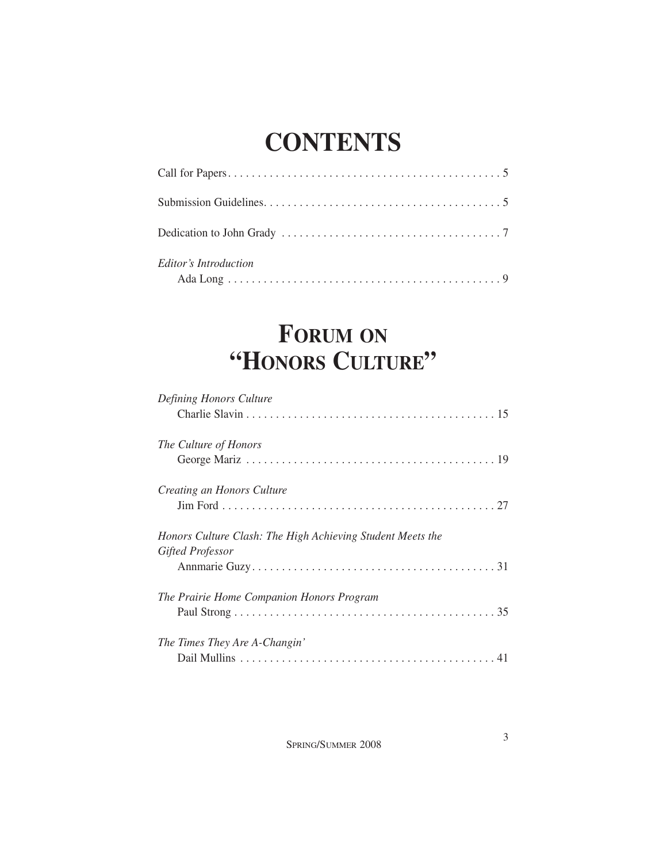# **CONTENTS**

| Editor's Introduction |  |
|-----------------------|--|

## **FORUM ON "HONORS CULTURE"**

| Defining Honors Culture                                    |
|------------------------------------------------------------|
|                                                            |
| The Culture of Honors                                      |
|                                                            |
| Creating an Honors Culture                                 |
|                                                            |
| Honors Culture Clash: The High Achieving Student Meets the |
| <b>Gifted Professor</b>                                    |
|                                                            |
| The Prairie Home Companion Honors Program                  |
|                                                            |
| The Times They Are A-Changin'                              |
|                                                            |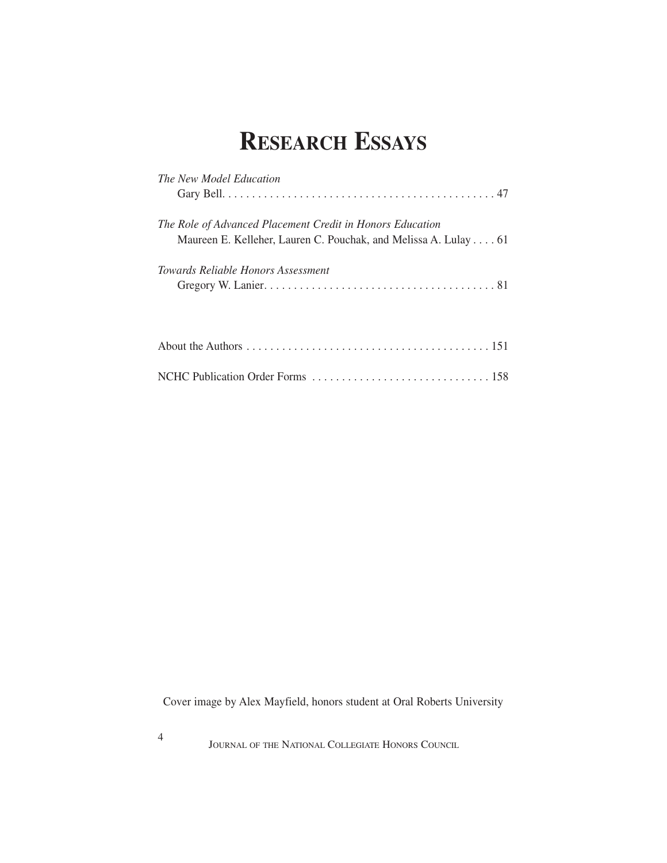## **RESEARCH ESSAYS**

| The New Model Education                                                                                                      |
|------------------------------------------------------------------------------------------------------------------------------|
| The Role of Advanced Placement Credit in Honors Education<br>Maureen E. Kelleher, Lauren C. Pouchak, and Melissa A. Lulay 61 |
| <i>Towards Reliable Honors Assessment</i>                                                                                    |
|                                                                                                                              |
|                                                                                                                              |

Cover image by Alex Mayfield, honors student at Oral Roberts University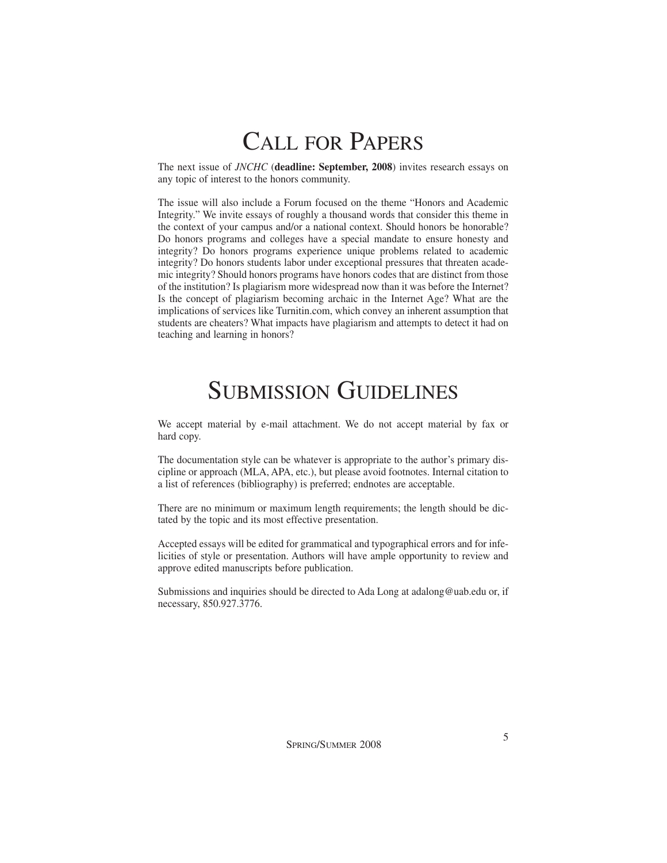## CALL FOR PAPERS

The next issue of *JNCHC* (**deadline: September, 2008**) invites research essays on any topic of interest to the honors community.

The issue will also include a Forum focused on the theme "Honors and Academic Integrity." We invite essays of roughly a thousand words that consider this theme in the context of your campus and/or a national context. Should honors be honorable? Do honors programs and colleges have a special mandate to ensure honesty and integrity? Do honors programs experience unique problems related to academic integrity? Do honors students labor under exceptional pressures that threaten academic integrity? Should honors programs have honors codes that are distinct from those of the institution? Is plagiarism more widespread now than it was before the Internet? Is the concept of plagiarism becoming archaic in the Internet Age? What are the implications of services like Turnitin.com, which convey an inherent assumption that students are cheaters? What impacts have plagiarism and attempts to detect it had on teaching and learning in honors?

## SUBMISSION GUIDELINES

We accept material by e-mail attachment. We do not accept material by fax or hard copy.

The documentation style can be whatever is appropriate to the author's primary discipline or approach (MLA, APA, etc.), but please avoid footnotes. Internal citation to a list of references (bibliography) is preferred; endnotes are acceptable.

There are no minimum or maximum length requirements; the length should be dictated by the topic and its most effective presentation.

Accepted essays will be edited for grammatical and typographical errors and for infelicities of style or presentation. Authors will have ample opportunity to review and approve edited manuscripts before publication.

Submissions and inquiries should be directed to Ada Long at adalong@uab.edu or, if necessary, 850.927.3776.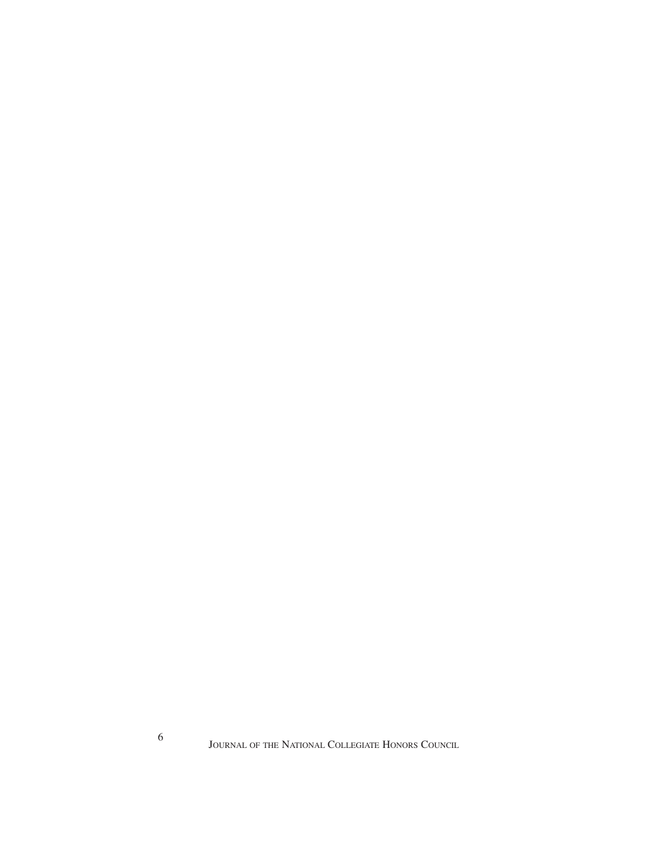JOURNAL OF THE NATIONAL COLLEGIATE HONORS COUNCIL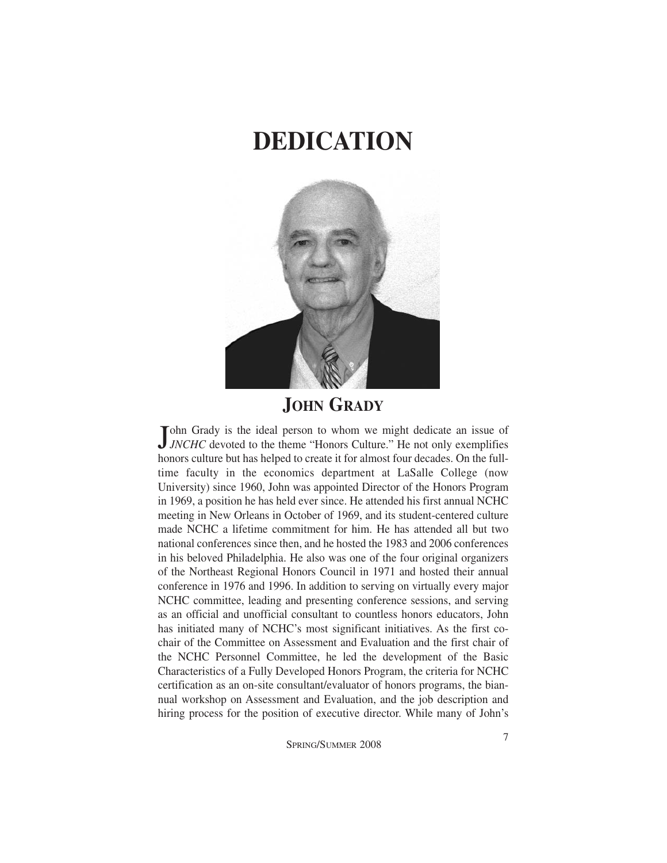## **DEDICATION**



**JOHN GRADY**

John Grady is the ideal person to whom we might dedicate an issue of *JNCHC* devoted to the theme "Honors Culture." He not only exemplifies *JNCHC* devoted to the theme "Honors Culture." He not only exemplifies honors culture but has helped to create it for almost four decades. On the fulltime faculty in the economics department at LaSalle College (now University) since 1960, John was appointed Director of the Honors Program in 1969, a position he has held ever since. He attended his first annual NCHC meeting in New Orleans in October of 1969, and its student-centered culture made NCHC a lifetime commitment for him. He has attended all but two national conferences since then, and he hosted the 1983 and 2006 conferences in his beloved Philadelphia. He also was one of the four original organizers of the Northeast Regional Honors Council in 1971 and hosted their annual conference in 1976 and 1996. In addition to serving on virtually every major NCHC committee, leading and presenting conference sessions, and serving as an official and unofficial consultant to countless honors educators, John has initiated many of NCHC's most significant initiatives. As the first cochair of the Committee on Assessment and Evaluation and the first chair of the NCHC Personnel Committee, he led the development of the Basic Characteristics of a Fully Developed Honors Program, the criteria for NCHC certification as an on-site consultant/evaluator of honors programs, the biannual workshop on Assessment and Evaluation, and the job description and hiring process for the position of executive director. While many of John's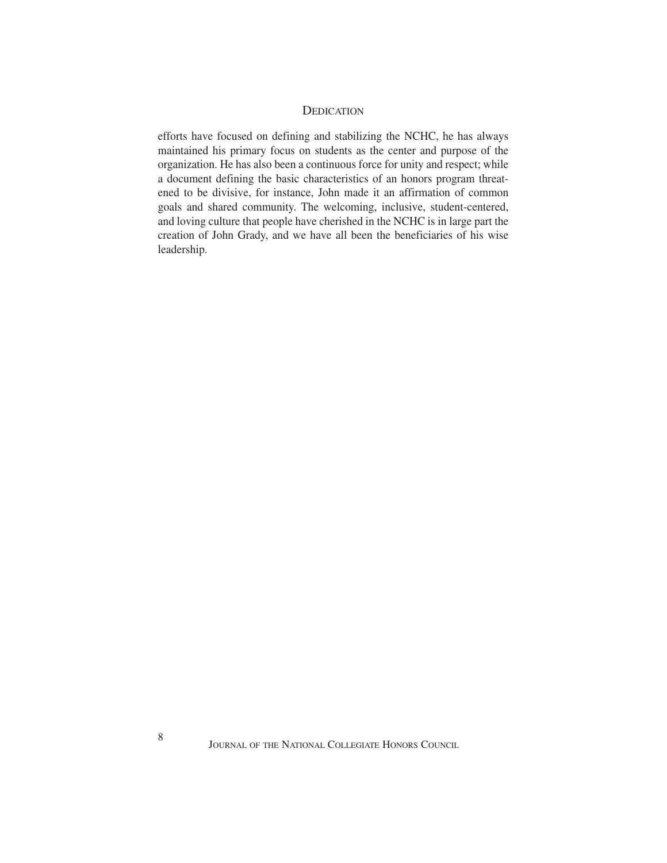#### **DEDICATION**

efforts have focused on defining and stabilizing the NCHC, he has always maintained his primary focus on students as the center and purpose of the organization. He has also been a continuous force for unity and respect; while a document defining the basic characteristics of an honors program threatened to be divisive, for instance, John made it an affirmation of common goals and shared community. The welcoming, inclusive, student-centered, and loving culture that people have cherished in the NCHC is in large part the creation of John Grady, and we have all been the beneficiaries of his wise leadership.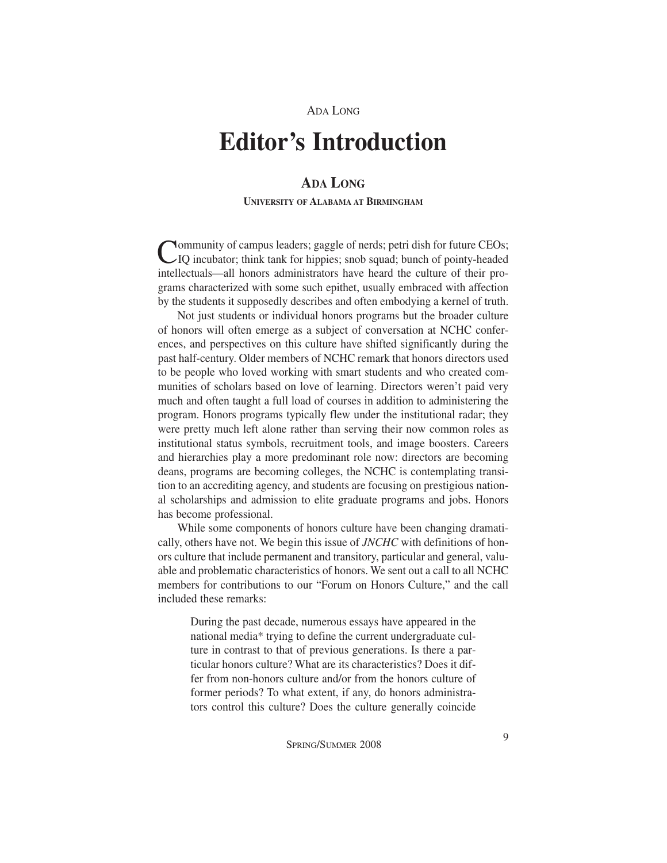#### ADA LONG

## **Editor's Introduction**

#### **ADA LONG**

#### **UNIVERSITY OF ALABAMA AT BIRMINGHAM**

Community of campus leaders; gaggle of nerds; petri dish for future CEOs; IQ incubator; think tank for hippies; snob squad; bunch of pointy-headed intellectuals—all honors administrators have heard the culture of their programs characterized with some such epithet, usually embraced with affection by the students it supposedly describes and often embodying a kernel of truth.

Not just students or individual honors programs but the broader culture of honors will often emerge as a subject of conversation at NCHC conferences, and perspectives on this culture have shifted significantly during the past half-century. Older members of NCHC remark that honors directors used to be people who loved working with smart students and who created communities of scholars based on love of learning. Directors weren't paid very much and often taught a full load of courses in addition to administering the program. Honors programs typically flew under the institutional radar; they were pretty much left alone rather than serving their now common roles as institutional status symbols, recruitment tools, and image boosters. Careers and hierarchies play a more predominant role now: directors are becoming deans, programs are becoming colleges, the NCHC is contemplating transition to an accrediting agency, and students are focusing on prestigious national scholarships and admission to elite graduate programs and jobs. Honors has become professional.

While some components of honors culture have been changing dramatically, others have not. We begin this issue of *JNCHC* with definitions of honors culture that include permanent and transitory, particular and general, valuable and problematic characteristics of honors. We sent out a call to all NCHC members for contributions to our "Forum on Honors Culture," and the call included these remarks:

During the past decade, numerous essays have appeared in the national media\* trying to define the current undergraduate culture in contrast to that of previous generations. Is there a particular honors culture? What are its characteristics? Does it differ from non-honors culture and/or from the honors culture of former periods? To what extent, if any, do honors administrators control this culture? Does the culture generally coincide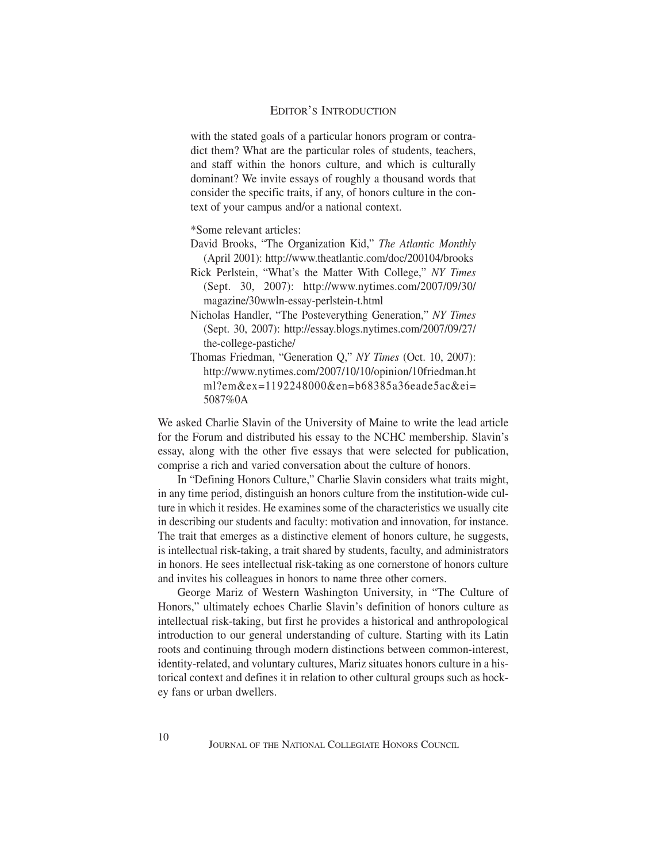#### EDITOR'S INTRODUCTION

with the stated goals of a particular honors program or contradict them? What are the particular roles of students, teachers, and staff within the honors culture, and which is culturally dominant? We invite essays of roughly a thousand words that consider the specific traits, if any, of honors culture in the context of your campus and/or a national context.

\*Some relevant articles:

David Brooks, "The Organization Kid," *The Atlantic Monthly* (April 2001): http://www.theatlantic.com/doc/200104/brooks

- Rick Perlstein, "What's the Matter With College," *NY Times* (Sept. 30, 2007): http://www.nytimes.com/2007/09/30/ magazine/30wwln-essay-perlstein-t.html
- Nicholas Handler, "The Posteverything Generation," *NY Times* (Sept. 30, 2007): http://essay.blogs.nytimes.com/2007/09/27/ the-college-pastiche/
- Thomas Friedman, "Generation Q," *NY Times* (Oct. 10, 2007): http://www.nytimes.com/2007/10/10/opinion/10friedman.ht ml?em&ex=1192248000&en=b68385a36eade5ac&ei= 5087%0A

We asked Charlie Slavin of the University of Maine to write the lead article for the Forum and distributed his essay to the NCHC membership. Slavin's essay, along with the other five essays that were selected for publication, comprise a rich and varied conversation about the culture of honors.

In "Defining Honors Culture," Charlie Slavin considers what traits might, in any time period, distinguish an honors culture from the institution-wide culture in which it resides. He examines some of the characteristics we usually cite in describing our students and faculty: motivation and innovation, for instance. The trait that emerges as a distinctive element of honors culture, he suggests, is intellectual risk-taking, a trait shared by students, faculty, and administrators in honors. He sees intellectual risk-taking as one cornerstone of honors culture and invites his colleagues in honors to name three other corners.

George Mariz of Western Washington University, in "The Culture of Honors," ultimately echoes Charlie Slavin's definition of honors culture as intellectual risk-taking, but first he provides a historical and anthropological introduction to our general understanding of culture. Starting with its Latin roots and continuing through modern distinctions between common-interest, identity-related, and voluntary cultures, Mariz situates honors culture in a historical context and defines it in relation to other cultural groups such as hockey fans or urban dwellers.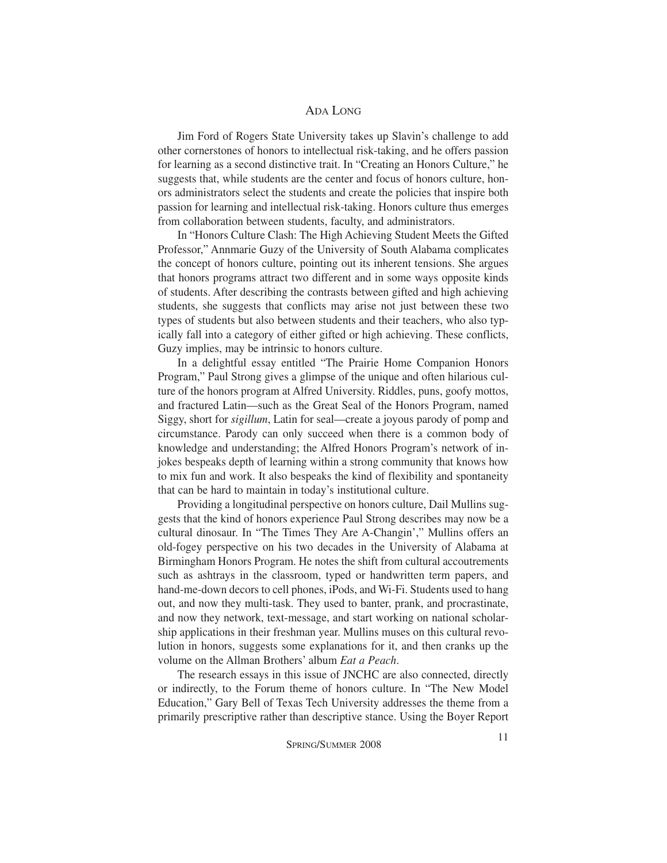#### ADA LONG

Jim Ford of Rogers State University takes up Slavin's challenge to add other cornerstones of honors to intellectual risk-taking, and he offers passion for learning as a second distinctive trait. In "Creating an Honors Culture," he suggests that, while students are the center and focus of honors culture, honors administrators select the students and create the policies that inspire both passion for learning and intellectual risk-taking. Honors culture thus emerges from collaboration between students, faculty, and administrators.

In "Honors Culture Clash: The High Achieving Student Meets the Gifted Professor," Annmarie Guzy of the University of South Alabama complicates the concept of honors culture, pointing out its inherent tensions. She argues that honors programs attract two different and in some ways opposite kinds of students. After describing the contrasts between gifted and high achieving students, she suggests that conflicts may arise not just between these two types of students but also between students and their teachers, who also typically fall into a category of either gifted or high achieving. These conflicts, Guzy implies, may be intrinsic to honors culture.

In a delightful essay entitled "The Prairie Home Companion Honors Program," Paul Strong gives a glimpse of the unique and often hilarious culture of the honors program at Alfred University. Riddles, puns, goofy mottos, and fractured Latin—such as the Great Seal of the Honors Program, named Siggy, short for *sigillum*, Latin for seal—create a joyous parody of pomp and circumstance. Parody can only succeed when there is a common body of knowledge and understanding; the Alfred Honors Program's network of injokes bespeaks depth of learning within a strong community that knows how to mix fun and work. It also bespeaks the kind of flexibility and spontaneity that can be hard to maintain in today's institutional culture.

Providing a longitudinal perspective on honors culture, Dail Mullins suggests that the kind of honors experience Paul Strong describes may now be a cultural dinosaur. In "The Times They Are A-Changin'," Mullins offers an old-fogey perspective on his two decades in the University of Alabama at Birmingham Honors Program. He notes the shift from cultural accoutrements such as ashtrays in the classroom, typed or handwritten term papers, and hand-me-down decors to cell phones, iPods, and Wi-Fi. Students used to hang out, and now they multi-task. They used to banter, prank, and procrastinate, and now they network, text-message, and start working on national scholarship applications in their freshman year. Mullins muses on this cultural revolution in honors, suggests some explanations for it, and then cranks up the volume on the Allman Brothers' album *Eat a Peach*.

The research essays in this issue of JNCHC are also connected, directly or indirectly, to the Forum theme of honors culture. In "The New Model Education," Gary Bell of Texas Tech University addresses the theme from a primarily prescriptive rather than descriptive stance. Using the Boyer Report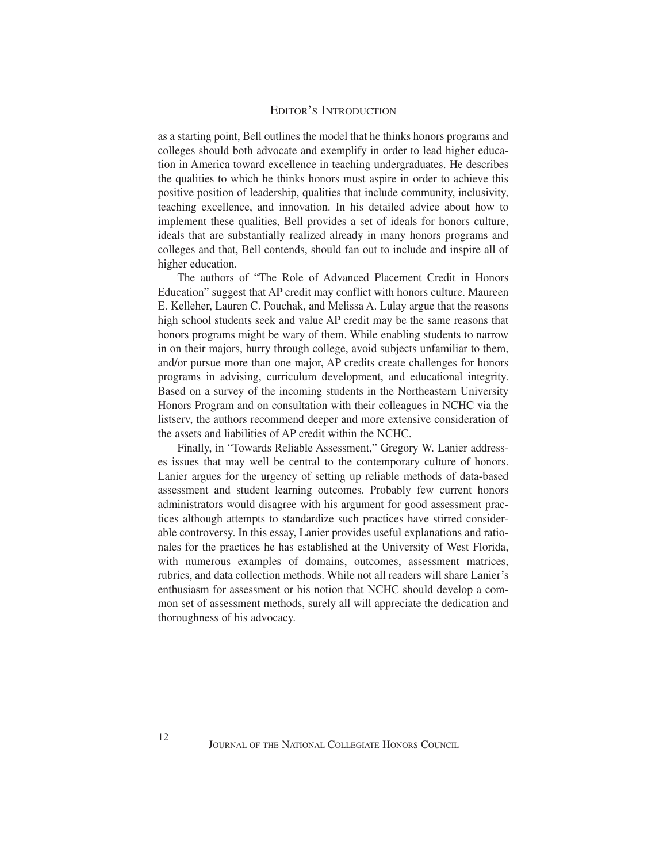#### EDITOR'S INTRODUCTION

as a starting point, Bell outlines the model that he thinks honors programs and colleges should both advocate and exemplify in order to lead higher education in America toward excellence in teaching undergraduates. He describes the qualities to which he thinks honors must aspire in order to achieve this positive position of leadership, qualities that include community, inclusivity, teaching excellence, and innovation. In his detailed advice about how to implement these qualities, Bell provides a set of ideals for honors culture, ideals that are substantially realized already in many honors programs and colleges and that, Bell contends, should fan out to include and inspire all of higher education.

The authors of "The Role of Advanced Placement Credit in Honors Education" suggest that AP credit may conflict with honors culture. Maureen E. Kelleher, Lauren C. Pouchak, and Melissa A. Lulay argue that the reasons high school students seek and value AP credit may be the same reasons that honors programs might be wary of them. While enabling students to narrow in on their majors, hurry through college, avoid subjects unfamiliar to them, and/or pursue more than one major, AP credits create challenges for honors programs in advising, curriculum development, and educational integrity. Based on a survey of the incoming students in the Northeastern University Honors Program and on consultation with their colleagues in NCHC via the listserv, the authors recommend deeper and more extensive consideration of the assets and liabilities of AP credit within the NCHC.

Finally, in "Towards Reliable Assessment," Gregory W. Lanier addresses issues that may well be central to the contemporary culture of honors. Lanier argues for the urgency of setting up reliable methods of data-based assessment and student learning outcomes. Probably few current honors administrators would disagree with his argument for good assessment practices although attempts to standardize such practices have stirred considerable controversy. In this essay, Lanier provides useful explanations and rationales for the practices he has established at the University of West Florida, with numerous examples of domains, outcomes, assessment matrices, rubrics, and data collection methods. While not all readers will share Lanier's enthusiasm for assessment or his notion that NCHC should develop a common set of assessment methods, surely all will appreciate the dedication and thoroughness of his advocacy.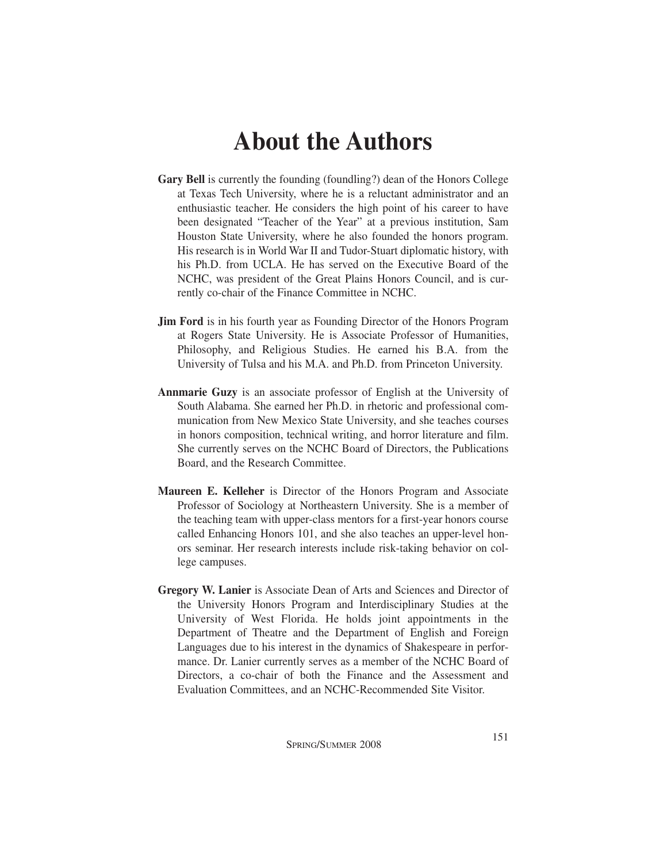## **About the Authors**

- **Gary Bell** is currently the founding (foundling?) dean of the Honors College at Texas Tech University, where he is a reluctant administrator and an enthusiastic teacher. He considers the high point of his career to have been designated "Teacher of the Year" at a previous institution, Sam Houston State University, where he also founded the honors program. His research is in World War II and Tudor-Stuart diplomatic history, with his Ph.D. from UCLA. He has served on the Executive Board of the NCHC, was president of the Great Plains Honors Council, and is currently co-chair of the Finance Committee in NCHC.
- **Jim Ford** is in his fourth year as Founding Director of the Honors Program at Rogers State University. He is Associate Professor of Humanities, Philosophy, and Religious Studies. He earned his B.A. from the University of Tulsa and his M.A. and Ph.D. from Princeton University.
- **Annmarie Guzy** is an associate professor of English at the University of South Alabama. She earned her Ph.D. in rhetoric and professional communication from New Mexico State University, and she teaches courses in honors composition, technical writing, and horror literature and film. She currently serves on the NCHC Board of Directors, the Publications Board, and the Research Committee.
- **Maureen E. Kelleher** is Director of the Honors Program and Associate Professor of Sociology at Northeastern University. She is a member of the teaching team with upper-class mentors for a first-year honors course called Enhancing Honors 101, and she also teaches an upper-level honors seminar. Her research interests include risk-taking behavior on college campuses.
- **Gregory W. Lanier** is Associate Dean of Arts and Sciences and Director of the University Honors Program and Interdisciplinary Studies at the University of West Florida. He holds joint appointments in the Department of Theatre and the Department of English and Foreign Languages due to his interest in the dynamics of Shakespeare in performance. Dr. Lanier currently serves as a member of the NCHC Board of Directors, a co-chair of both the Finance and the Assessment and Evaluation Committees, and an NCHC-Recommended Site Visitor.